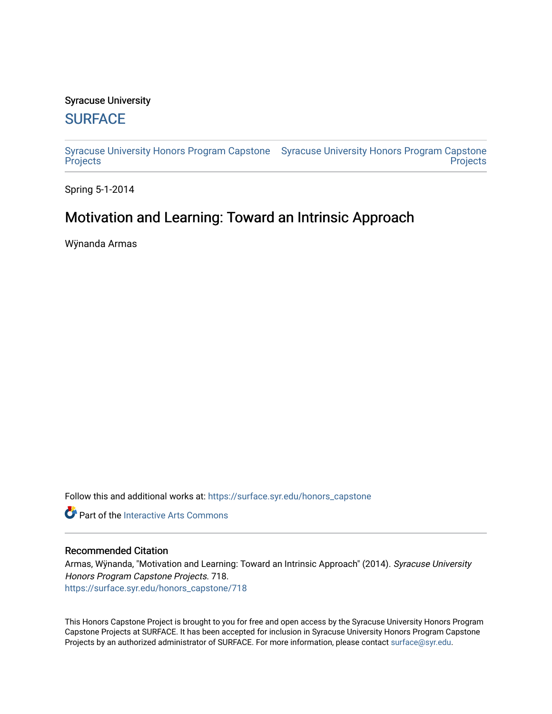### Syracuse University

## **[SURFACE](https://surface.syr.edu/)**

[Syracuse University Honors Program Capstone](https://surface.syr.edu/honors_capstone)  [Syracuse University Honors Program Capstone](https://surface.syr.edu/honors_capstones)  **[Projects](https://surface.syr.edu/honors_capstone) Projects** 

Spring 5-1-2014

# Motivation and Learning: Toward an Intrinsic Approach

Wÿnanda Armas

Follow this and additional works at: [https://surface.syr.edu/honors\\_capstone](https://surface.syr.edu/honors_capstone?utm_source=surface.syr.edu%2Fhonors_capstone%2F718&utm_medium=PDF&utm_campaign=PDFCoverPages) 



#### Recommended Citation

Armas, Wynanda, "Motivation and Learning: Toward an Intrinsic Approach" (2014). Syracuse University Honors Program Capstone Projects. 718. [https://surface.syr.edu/honors\\_capstone/718](https://surface.syr.edu/honors_capstone/718?utm_source=surface.syr.edu%2Fhonors_capstone%2F718&utm_medium=PDF&utm_campaign=PDFCoverPages) 

This Honors Capstone Project is brought to you for free and open access by the Syracuse University Honors Program Capstone Projects at SURFACE. It has been accepted for inclusion in Syracuse University Honors Program Capstone Projects by an authorized administrator of SURFACE. For more information, please contact [surface@syr.edu.](mailto:surface@syr.edu)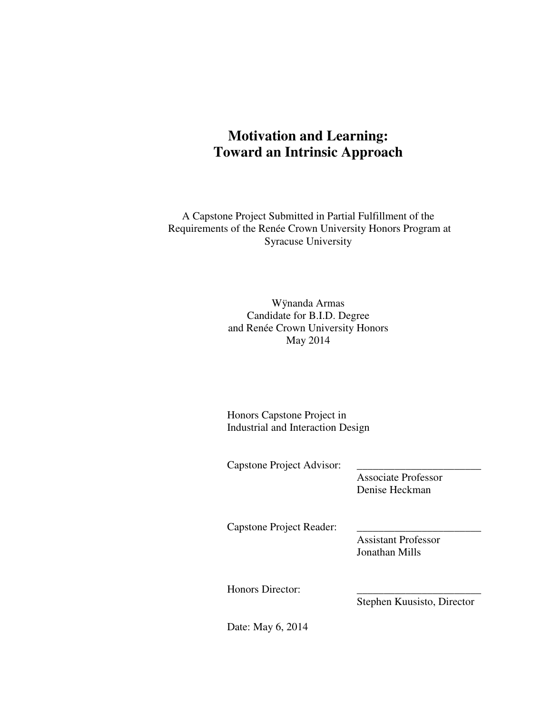# **Motivation and Learning: Toward an Intrinsic Approach**

A Capstone Project Submitted in Partial Fulfillment of the Requirements of the Renée Crown University Honors Program at Syracuse University

> Wÿnanda Armas Candidate for B.I.D. Degree and Renée Crown University Honors May 2014

 Honors Capstone Project in Industrial and Interaction Design

Capstone Project Advisor:

 Associate Professor Denise Heckman

Capstone Project Reader:

 Assistant Professor Jonathan Mills

Honors Director:

Stephen Kuusisto, Director

Date: May 6, 2014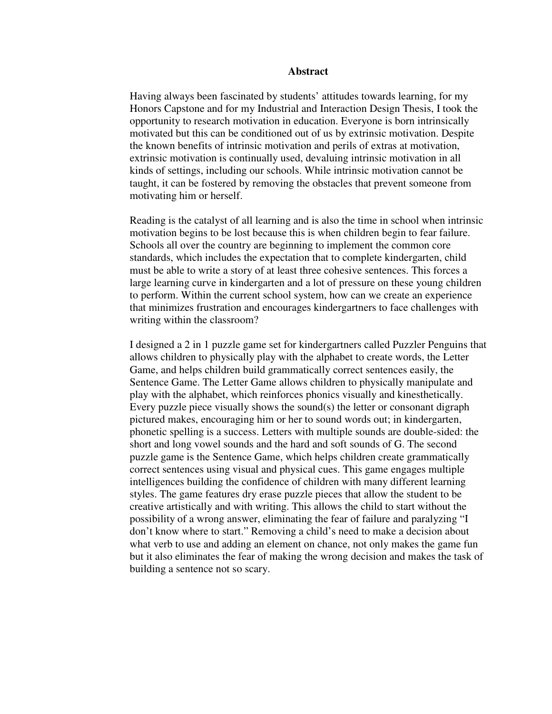#### **Abstract**

Having always been fascinated by students' attitudes towards learning, for my Honors Capstone and for my Industrial and Interaction Design Thesis, I took the opportunity to research motivation in education. Everyone is born intrinsically motivated but this can be conditioned out of us by extrinsic motivation. Despite the known benefits of intrinsic motivation and perils of extras at motivation, extrinsic motivation is continually used, devaluing intrinsic motivation in all kinds of settings, including our schools. While intrinsic motivation cannot be taught, it can be fostered by removing the obstacles that prevent someone from motivating him or herself.

Reading is the catalyst of all learning and is also the time in school when intrinsic motivation begins to be lost because this is when children begin to fear failure. Schools all over the country are beginning to implement the common core standards, which includes the expectation that to complete kindergarten, child must be able to write a story of at least three cohesive sentences. This forces a large learning curve in kindergarten and a lot of pressure on these young children to perform. Within the current school system, how can we create an experience that minimizes frustration and encourages kindergartners to face challenges with writing within the classroom?

I designed a 2 in 1 puzzle game set for kindergartners called Puzzler Penguins that allows children to physically play with the alphabet to create words, the Letter Game, and helps children build grammatically correct sentences easily, the Sentence Game. The Letter Game allows children to physically manipulate and play with the alphabet, which reinforces phonics visually and kinesthetically. Every puzzle piece visually shows the sound(s) the letter or consonant digraph pictured makes, encouraging him or her to sound words out; in kindergarten, phonetic spelling is a success. Letters with multiple sounds are double-sided: the short and long vowel sounds and the hard and soft sounds of G. The second puzzle game is the Sentence Game, which helps children create grammatically correct sentences using visual and physical cues. This game engages multiple intelligences building the confidence of children with many different learning styles. The game features dry erase puzzle pieces that allow the student to be creative artistically and with writing. This allows the child to start without the possibility of a wrong answer, eliminating the fear of failure and paralyzing "I don't know where to start." Removing a child's need to make a decision about what verb to use and adding an element on chance, not only makes the game fun but it also eliminates the fear of making the wrong decision and makes the task of building a sentence not so scary.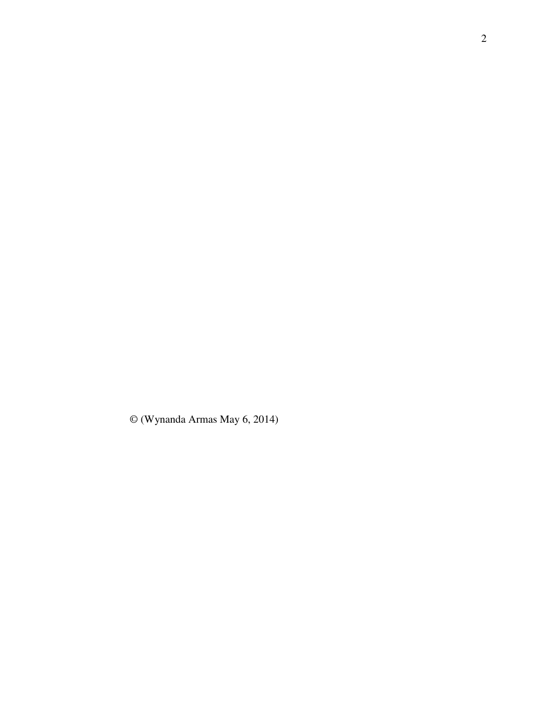© (Wynanda Armas May 6, 2014)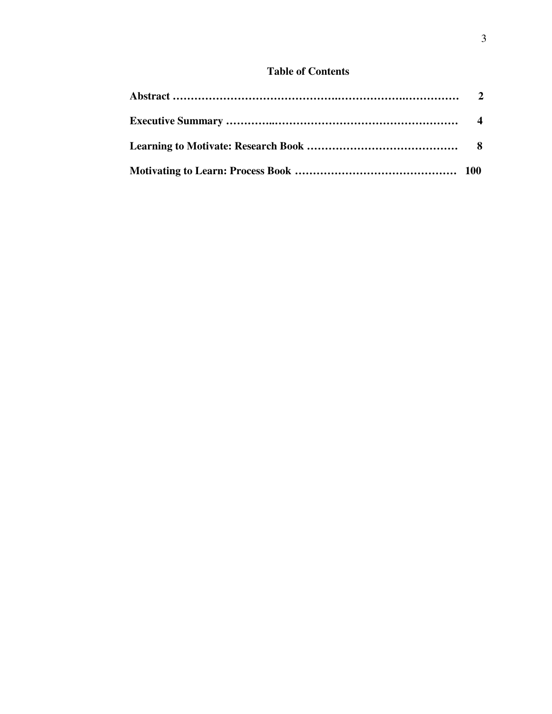### **Table of Contents**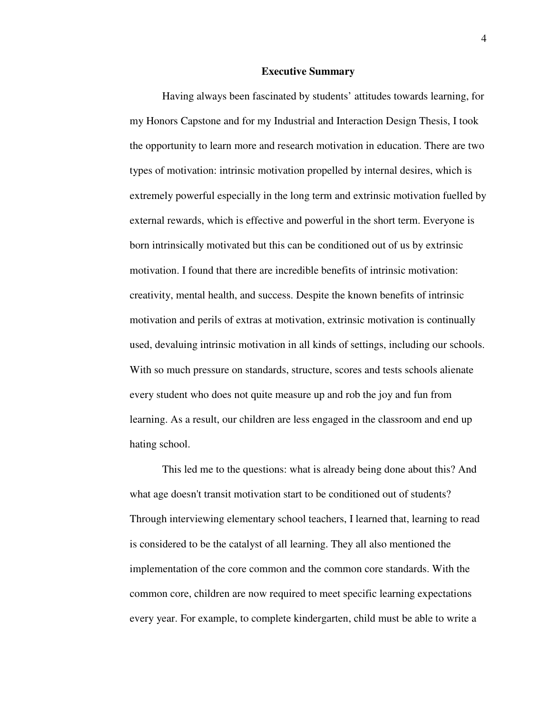#### **Executive Summary**

 Having always been fascinated by students' attitudes towards learning, for my Honors Capstone and for my Industrial and Interaction Design Thesis, I took the opportunity to learn more and research motivation in education. There are two types of motivation: intrinsic motivation propelled by internal desires, which is extremely powerful especially in the long term and extrinsic motivation fuelled by external rewards, which is effective and powerful in the short term. Everyone is born intrinsically motivated but this can be conditioned out of us by extrinsic motivation. I found that there are incredible benefits of intrinsic motivation: creativity, mental health, and success. Despite the known benefits of intrinsic motivation and perils of extras at motivation, extrinsic motivation is continually used, devaluing intrinsic motivation in all kinds of settings, including our schools. With so much pressure on standards, structure, scores and tests schools alienate every student who does not quite measure up and rob the joy and fun from learning. As a result, our children are less engaged in the classroom and end up hating school.

 This led me to the questions: what is already being done about this? And what age doesn't transit motivation start to be conditioned out of students? Through interviewing elementary school teachers, I learned that, learning to read is considered to be the catalyst of all learning. They all also mentioned the implementation of the core common and the common core standards. With the common core, children are now required to meet specific learning expectations every year. For example, to complete kindergarten, child must be able to write a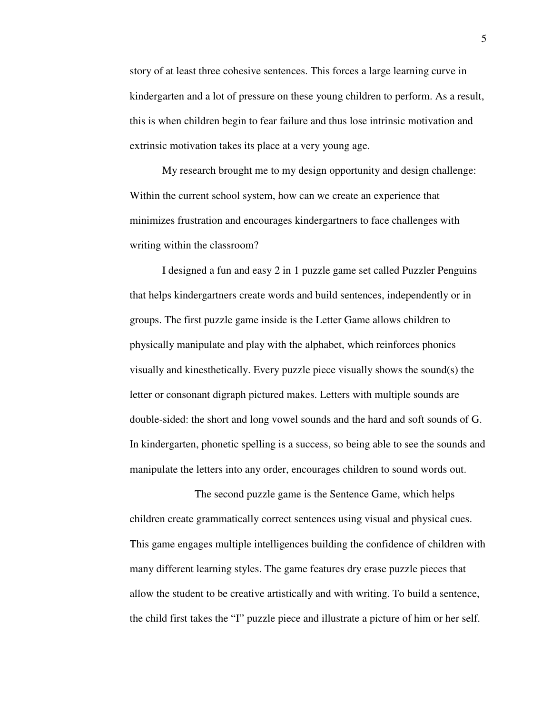story of at least three cohesive sentences. This forces a large learning curve in kindergarten and a lot of pressure on these young children to perform. As a result, this is when children begin to fear failure and thus lose intrinsic motivation and extrinsic motivation takes its place at a very young age.

 My research brought me to my design opportunity and design challenge: Within the current school system, how can we create an experience that minimizes frustration and encourages kindergartners to face challenges with writing within the classroom?

 I designed a fun and easy 2 in 1 puzzle game set called Puzzler Penguins that helps kindergartners create words and build sentences, independently or in groups. The first puzzle game inside is the Letter Game allows children to physically manipulate and play with the alphabet, which reinforces phonics visually and kinesthetically. Every puzzle piece visually shows the sound(s) the letter or consonant digraph pictured makes. Letters with multiple sounds are double-sided: the short and long vowel sounds and the hard and soft sounds of G. In kindergarten, phonetic spelling is a success, so being able to see the sounds and manipulate the letters into any order, encourages children to sound words out.

 The second puzzle game is the Sentence Game, which helps children create grammatically correct sentences using visual and physical cues. This game engages multiple intelligences building the confidence of children with many different learning styles. The game features dry erase puzzle pieces that allow the student to be creative artistically and with writing. To build a sentence, the child first takes the "I" puzzle piece and illustrate a picture of him or her self.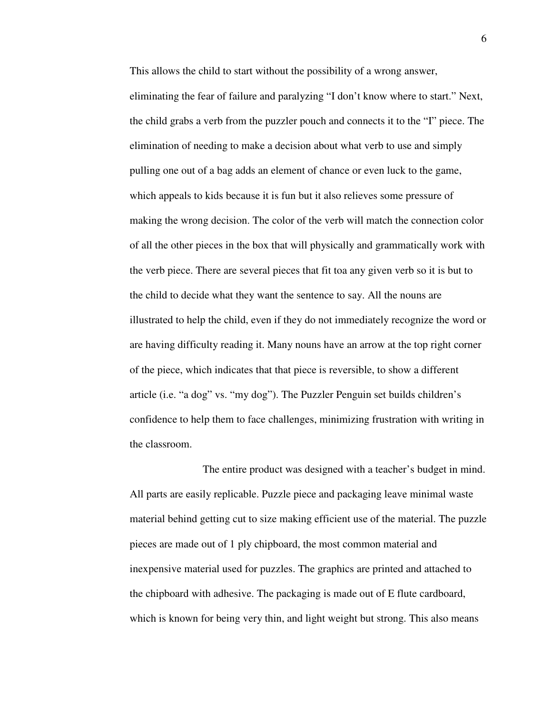This allows the child to start without the possibility of a wrong answer,

eliminating the fear of failure and paralyzing "I don't know where to start." Next, the child grabs a verb from the puzzler pouch and connects it to the "I" piece. The elimination of needing to make a decision about what verb to use and simply pulling one out of a bag adds an element of chance or even luck to the game, which appeals to kids because it is fun but it also relieves some pressure of making the wrong decision. The color of the verb will match the connection color of all the other pieces in the box that will physically and grammatically work with the verb piece. There are several pieces that fit toa any given verb so it is but to the child to decide what they want the sentence to say. All the nouns are illustrated to help the child, even if they do not immediately recognize the word or are having difficulty reading it. Many nouns have an arrow at the top right corner of the piece, which indicates that that piece is reversible, to show a different article (i.e. "a dog" vs. "my dog"). The Puzzler Penguin set builds children's confidence to help them to face challenges, minimizing frustration with writing in the classroom.

 The entire product was designed with a teacher's budget in mind. All parts are easily replicable. Puzzle piece and packaging leave minimal waste material behind getting cut to size making efficient use of the material. The puzzle pieces are made out of 1 ply chipboard, the most common material and inexpensive material used for puzzles. The graphics are printed and attached to the chipboard with adhesive. The packaging is made out of E flute cardboard, which is known for being very thin, and light weight but strong. This also means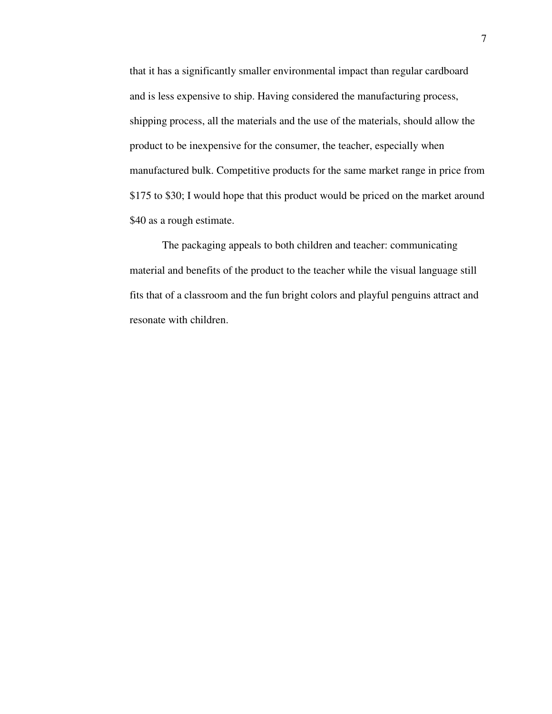that it has a significantly smaller environmental impact than regular cardboard and is less expensive to ship. Having considered the manufacturing process, shipping process, all the materials and the use of the materials, should allow the product to be inexpensive for the consumer, the teacher, especially when manufactured bulk. Competitive products for the same market range in price from \$175 to \$30; I would hope that this product would be priced on the market around \$40 as a rough estimate.

 The packaging appeals to both children and teacher: communicating material and benefits of the product to the teacher while the visual language still fits that of a classroom and the fun bright colors and playful penguins attract and resonate with children.